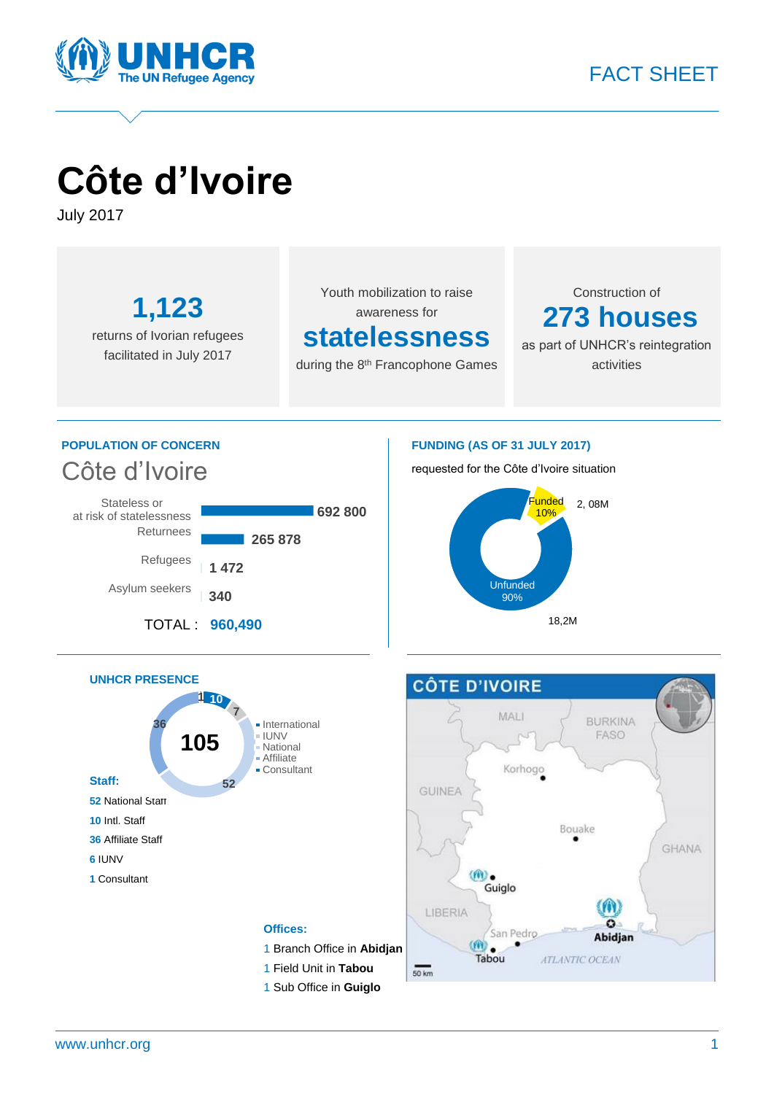

# **Côte d'Ivoire**

July 2017

**1,123** returns of Ivorian refugees facilitated in July 2017

Youth mobilization to raise awareness for

### **statelessness**

during the 8<sup>th</sup> Francophone Games

Construction of **273 houses**

as part of UNHCR's reintegration activities

### **POPULATION OF CONCERN** Côte d'Ivoire



#### **FUNDING (AS OF 31 JULY 2017)**

requested for the Côte d'Ivoire situation





1 Sub Office in **Guiglo**

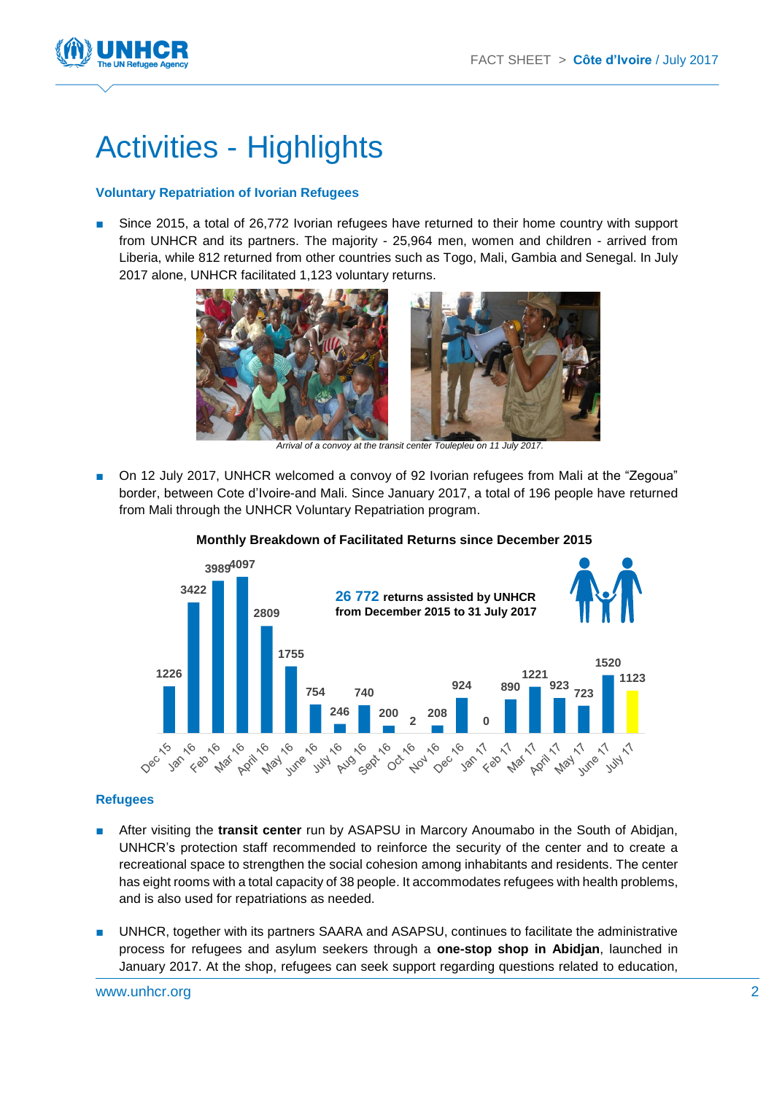

## Activities - Highlights

#### **Voluntary Repatriation of Ivorian Refugees**

■ Since 2015, a total of 26,772 Ivorian refugees have returned to their home country with support from UNHCR and its partners. The majority - 25,964 men, women and children - arrived from Liberia, while 812 returned from other countries such as Togo, Mali, Gambia and Senegal. In July 2017 alone, UNHCR facilitated 1,123 voluntary returns.



*Arrival of a convoy at the transit center Toulepleu on 11 July 2017.*

■ On 12 July 2017, UNHCR welcomed a convoy of 92 Ivorian refugees from Mali at the "Zegoua" border, between Cote d'Ivoire-and Mali. Since January 2017, a total of 196 people have returned from Mali through the UNHCR Voluntary Repatriation program.



#### **Monthly Breakdown of Facilitated Returns since December 2015**

#### **Refugees**

- After visiting the **transit center** run by ASAPSU in Marcory Anoumabo in the South of Abidjan, UNHCR's protection staff recommended to reinforce the security of the center and to create a recreational space to strengthen the social cohesion among inhabitants and residents. The center has eight rooms with a total capacity of 38 people. It accommodates refugees with health problems, and is also used for repatriations as needed.
- UNHCR, together with its partners SAARA and ASAPSU, continues to facilitate the administrative process for refugees and asylum seekers through a **one-stop shop in Abidjan**, launched in January 2017. At the shop, refugees can seek support regarding questions related to education,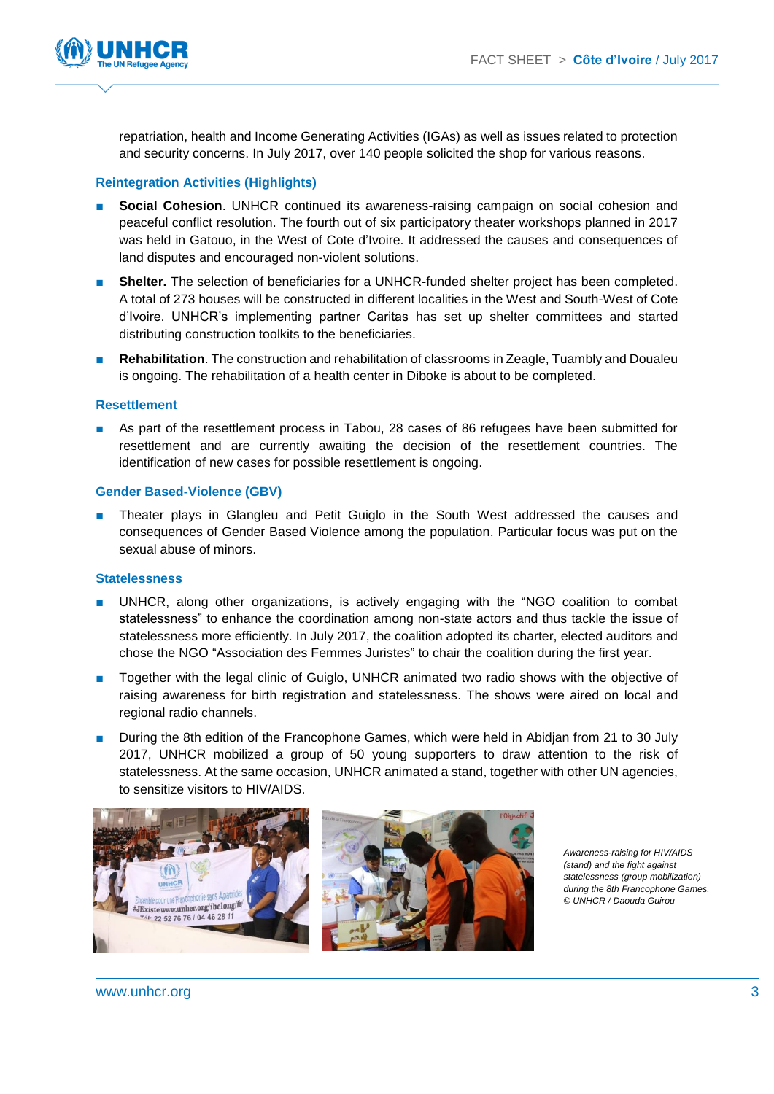

repatriation, health and Income Generating Activities (IGAs) as well as issues related to protection and security concerns. In July 2017, over 140 people solicited the shop for various reasons.

#### **Reintegration Activities (Highlights)**

- **Social Cohesion**. UNHCR continued its awareness-raising campaign on social cohesion and peaceful conflict resolution. The fourth out of six participatory theater workshops planned in 2017 was held in Gatouo, in the West of Cote d'Ivoire. It addressed the causes and consequences of land disputes and encouraged non-violent solutions.
- **Shelter.** The selection of beneficiaries for a UNHCR-funded shelter project has been completed. A total of 273 houses will be constructed in different localities in the West and South-West of Cote d'Ivoire. UNHCR's implementing partner Caritas has set up shelter committees and started distributing construction toolkits to the beneficiaries.
- **Rehabilitation**. The construction and rehabilitation of classrooms in Zeagle, Tuambly and Doualeu is ongoing. The rehabilitation of a health center in Diboke is about to be completed.

#### **Resettlement**

■ As part of the resettlement process in Tabou, 28 cases of 86 refugees have been submitted for resettlement and are currently awaiting the decision of the resettlement countries. The identification of new cases for possible resettlement is ongoing.

#### **Gender Based-Violence (GBV)**

■ Theater plays in Glangleu and Petit Guiglo in the South West addressed the causes and consequences of Gender Based Violence among the population. Particular focus was put on the sexual abuse of minors.

#### **Statelessness**

- UNHCR, along other organizations, is actively engaging with the "NGO coalition to combat statelessness" to enhance the coordination among non-state actors and thus tackle the issue of statelessness more efficiently. In July 2017, the coalition adopted its charter, elected auditors and chose the NGO "Association des Femmes Juristes" to chair the coalition during the first year.
- Together with the legal clinic of Guiglo, UNHCR animated two radio shows with the objective of raising awareness for birth registration and statelessness. The shows were aired on local and regional radio channels.
- During the 8th edition of the Francophone Games, which were held in Abidjan from 21 to 30 July 2017, UNHCR mobilized a group of 50 young supporters to draw attention to the risk of statelessness. At the same occasion, UNHCR animated a stand, together with other UN agencies, to sensitize visitors to HIV/AIDS.



*Awareness-raising for HIV/AIDS (stand) and the fight against statelessness (group mobilization) during the 8th Francophone Games. © UNHCR / Daouda Guirou*